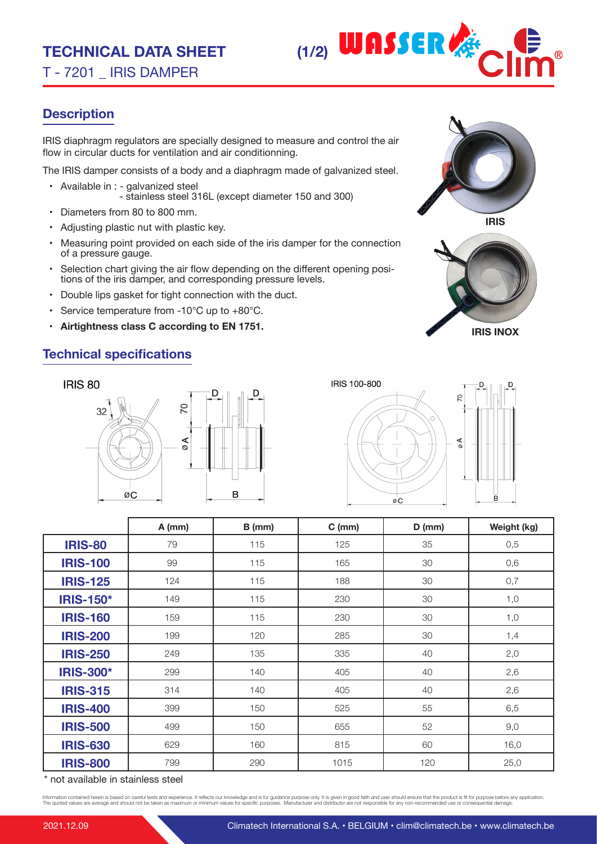T - 7201 \_ IRIS DAMPER



# **Description**

IRIS diaphragm regulators are specially designed to measure and control the air flow in circular ducts for ventilation and air conditionning.

The IRIS damper consists of a body and a diaphragm made of galvanized steel.

- Available in : galvanized steel - stainless steel 316L (except diameter 150 and 300)
- Diameters from 80 to 800 mm.
- Adjusting plastic nut with plastic key.
- Measuring point provided on each side of the iris damper for the connection of a pressure gauge.
- Selection chart giving the air flow depending on the different opening positions of the iris damper, and corresponding pressure levels.
- Double lips gasket for tight connection with the duct.
- Service temperature from -10°C up to +80°C.
- **• Airtightness class C according to EN 1751.**

# **Technical specifications**







|                  | $A$ (mm) | $B$ (mm) | $C$ (mm) | $D$ (mm) | Weight (kg) |
|------------------|----------|----------|----------|----------|-------------|
| <b>IRIS-80</b>   | 79       | 115      | 125      | 35       | 0,5         |
| <b>IRIS-100</b>  | 99       | 115      | 165      | 30       | 0,6         |
| <b>IRIS-125</b>  | 124      | 115      | 188      | 30       | 0,7         |
| <b>IRIS-150*</b> | 149      | 115      | 230      | 30       | 1,0         |
| <b>IRIS-160</b>  | 159      | 115      | 230      | 30       | 1,0         |
| <b>IRIS-200</b>  | 199      | 120      | 285      | 30       | 1,4         |
| <b>IRIS-250</b>  | 249      | 135      | 335      | 40       | 2,0         |
| <b>IRIS-300*</b> | 299      | 140      | 405      | 40       | 2,6         |
| <b>IRIS-315</b>  | 314      | 140      | 405      | 40       | 2,6         |
| <b>IRIS-400</b>  | 399      | 150      | 525      | 55       | 6,5         |
| <b>IRIS-500</b>  | 499      | 150      | 655      | 52       | 9,0         |
| <b>IRIS-630</b>  | 629      | 160      | 815      | 60       | 16,0        |
| <b>IRIS-800</b>  | 799      | 290      | 1015     | 120      | 25,0        |

\* not available in stainless steel

Information contained herein is based on careful tests and experience. It reflects our knowledge and is for guidance purpose only. It is given in good faith and user should ensure that the product is fit for purpose before